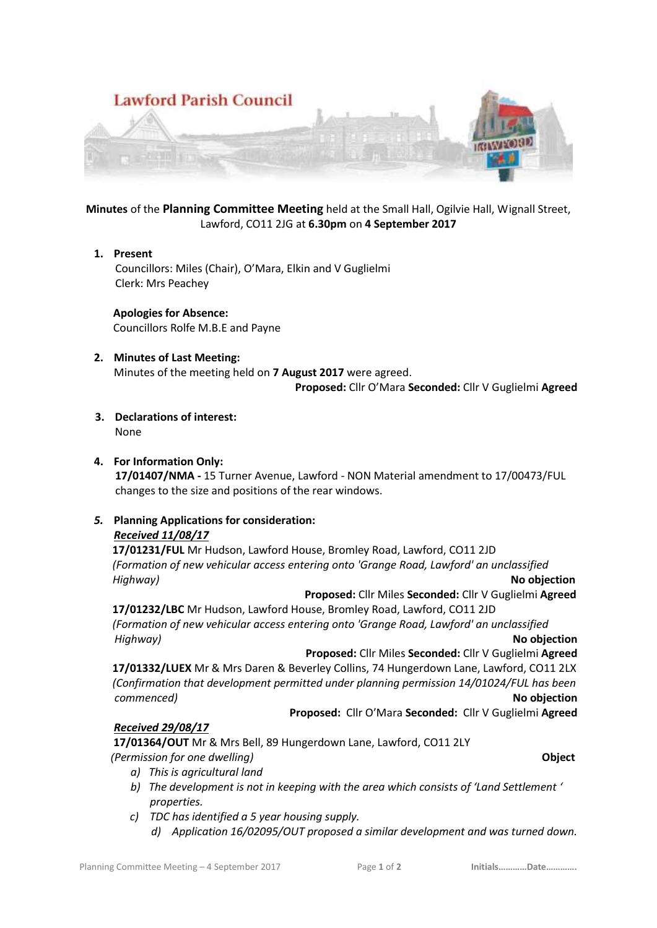

# **Minutes** of the **Planning Committee Meeting** held at the Small Hall, Ogilvie Hall, Wignall Street, Lawford, CO11 2JG at **6.30pm** on **4 September 2017**

### **1. Present**

 Councillors: Miles (Chair), O'Mara, Elkin and V Guglielmi Clerk: Mrs Peachey

 **Apologies for Absence:** Councillors Rolfe M.B.E and Payne

## **2. Minutes of Last Meeting:**

Minutes of the meeting held on **7 August 2017** were agreed.

**Proposed:** Cllr O'Mara **Seconded:** Cllr V Guglielmi **Agreed**

### **3. Declarations of interest:**

None

## **4. For Information Only:**

 **17/01407/NMA -** 15 Turner Avenue, Lawford - NON Material amendment to 17/00473/FUL changes to the size and positions of the rear windows.

## *5.* **Planning Applications for consideration:**

#### *Received 11/08/17*

 **17/01231/FUL** Mr Hudson, Lawford House, Bromley Road, Lawford, CO11 2JD  *(Formation of new vehicular access entering onto 'Grange Road, Lawford' an unclassified Highway)* **No objection**

 **Proposed:** Cllr Miles **Seconded:** Cllr V Guglielmi **Agreed**

 **17/01232/LBC** Mr Hudson, Lawford House, Bromley Road, Lawford, CO11 2JD  *(Formation of new vehicular access entering onto 'Grange Road, Lawford' an unclassified Highway)* **No objection** 

**Proposed:** Cllr Miles **Seconded:** Cllr V Guglielmi **Agreed**

 **17/01332/LUEX** Mr & Mrs Daren & Beverley Collins, 74 Hungerdown Lane, Lawford, CO11 2LX  *(Confirmation that development permitted under planning permission 14/01024/FUL has been commenced* **No objection** 

**Proposed:** Cllr O'Mara **Seconded:** Cllr V Guglielmi **Agreed**

## *Received 29/08/17*

**17/01364/OUT** Mr & Mrs Bell, 89 Hungerdown Lane, Lawford, CO11 2LY *(Permission for one dwelling)* **Object**

- *a) This is agricultural land*
- *b) The development is not in keeping with the area which consists of 'Land Settlement ' properties.*
- *c) TDC has identified a 5 year housing supply.*
	- *d) Application 16/02095/OUT proposed a similar development and was turned down.*